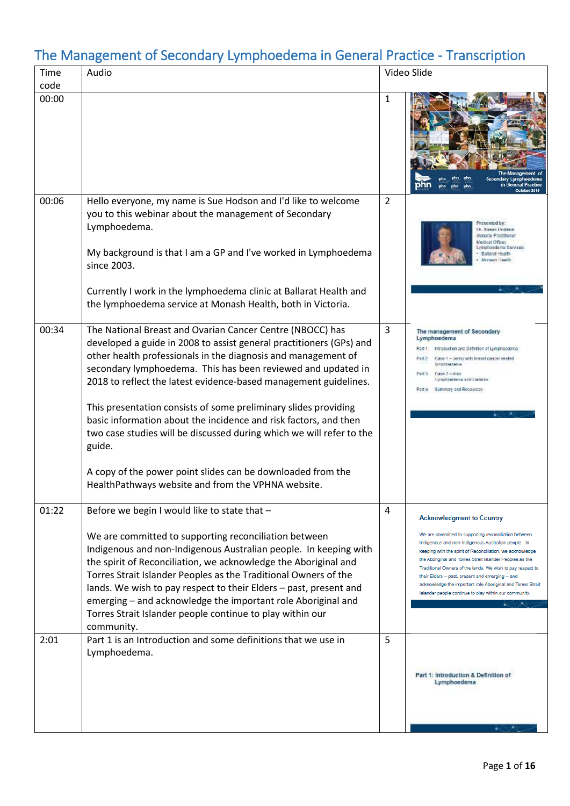| Time<br>code | Audio                                                                                                                                                                                                                                                                                                                                                                                                                                                                                                                                                                                                                                                                               |                | Video Slide                                                                                                                                                                                                                                                                                                                                                                                                                                                                                                         |
|--------------|-------------------------------------------------------------------------------------------------------------------------------------------------------------------------------------------------------------------------------------------------------------------------------------------------------------------------------------------------------------------------------------------------------------------------------------------------------------------------------------------------------------------------------------------------------------------------------------------------------------------------------------------------------------------------------------|----------------|---------------------------------------------------------------------------------------------------------------------------------------------------------------------------------------------------------------------------------------------------------------------------------------------------------------------------------------------------------------------------------------------------------------------------------------------------------------------------------------------------------------------|
| 00:00        |                                                                                                                                                                                                                                                                                                                                                                                                                                                                                                                                                                                                                                                                                     | 1              | October 2018                                                                                                                                                                                                                                                                                                                                                                                                                                                                                                        |
| 00:06        | Hello everyone, my name is Sue Hodson and I'd like to welcome<br>you to this webinar about the management of Secondary<br>Lymphoedema.<br>My background is that I am a GP and I've worked in Lymphoedema<br>since 2003.<br>Currently I work in the lymphoedema clinic at Ballarat Health and<br>the lymphoedema service at Monash Health, both in Victoria.                                                                                                                                                                                                                                                                                                                         | $\overline{2}$ | resented by:<br>Dr. Susan Dodson<br>General Practitioner<br>Medical Officer,<br>Lymphoedarna Sarvices<br><b>Ballarat Health</b><br>Manueli Health                                                                                                                                                                                                                                                                                                                                                                   |
| 00:34        | The National Breast and Ovarian Cancer Centre (NBOCC) has<br>developed a guide in 2008 to assist general practitioners (GPs) and<br>other health professionals in the diagnosis and management of<br>secondary lymphoedema. This has been reviewed and updated in<br>2018 to reflect the latest evidence-based management guidelines.<br>This presentation consists of some preliminary slides providing<br>basic information about the incidence and risk factors, and then<br>two case studies will be discussed during which we will refer to the<br>guide.<br>A copy of the power point slides can be downloaded from the<br>HealthPathways website and from the VPHNA website. | 3              | The management of Secondary<br>Lymphoedema<br>Introduction and Definition of Lymphopdema.<br>Part 1:<br>Case 1 - Jenny with brend cancer related<br>Part 2<br>lymbhteed#tter<br>Part 3<br>$C$ ator $2 - R$ ian<br><b>Lynphiatletes and Cabida</b><br>Summary and Resources<br>Part 4:                                                                                                                                                                                                                               |
| 01:22        | Before we begin I would like to state that -<br>We are committed to supporting reconciliation between<br>Indigenous and non-Indigenous Australian people. In keeping with<br>the spirit of Reconciliation, we acknowledge the Aboriginal and<br>Torres Strait Islander Peoples as the Traditional Owners of the<br>lands. We wish to pay respect to their Elders – past, present and<br>emerging - and acknowledge the important role Aboriginal and<br>Torres Strait Islander people continue to play within our<br>community.                                                                                                                                                     | 4              | <b>Acknowledgment to Country</b><br>We are committed to supporting reconciliation between<br>Indigenous and non-Indigenous Australian people. In<br>keeping with the spirit of Reconciliation, we acknowledge<br>the Aboriginal and Torres Strait Islander Peoples as the<br>Traditional Owners of the lands. We wish to pay respect to<br>their Elders - past, present and emerging - and<br>acknowledge the important role Aboriginal and Torres Strait<br>Islander people continue to play within our community. |
| 2:01         | Part 1 is an Introduction and some definitions that we use in<br>Lymphoedema.                                                                                                                                                                                                                                                                                                                                                                                                                                                                                                                                                                                                       | 5              | Part 1: Introduction & Definition of<br>Lymphoedema                                                                                                                                                                                                                                                                                                                                                                                                                                                                 |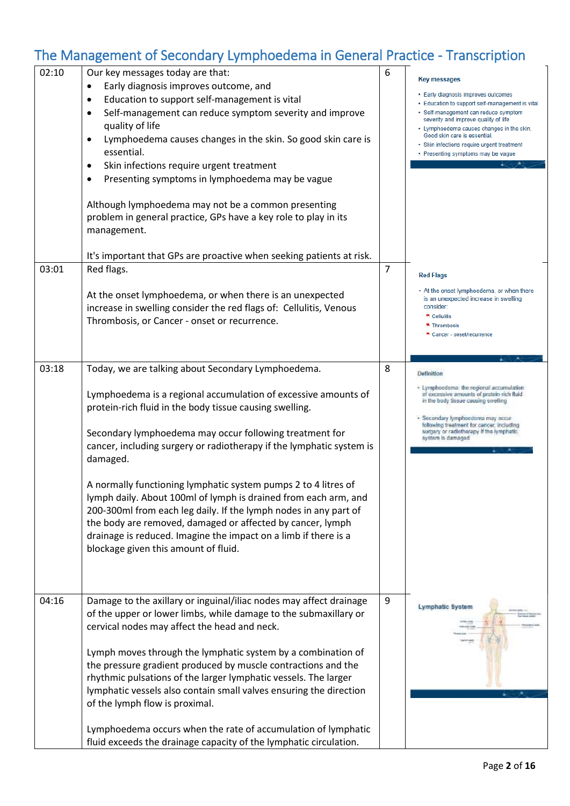| 02:10 | Our key messages today are that:<br>Early diagnosis improves outcome, and<br>Education to support self-management is vital<br>$\bullet$<br>Self-management can reduce symptom severity and improve<br>$\bullet$<br>quality of life<br>Lymphoedema causes changes in the skin. So good skin care is<br>$\bullet$<br>essential.<br>Skin infections require urgent treatment<br>$\bullet$<br>Presenting symptoms in lymphoedema may be vague<br>Although lymphoedema may not be a common presenting<br>problem in general practice, GPs have a key role to play in its<br>management.                                                                                                                               | 6              | <b>Key messages</b><br>• Early diagnosis improves outcomes<br>• Education to support self-management is vital<br>· Self-management can reduce symptom<br>severity and improve quality of life<br>• Lymphoedema causes changes in the skin.<br>Good skin care is essential.<br>· Skin infections require urgent treatment<br>• Presenting symptoms may be vague |
|-------|------------------------------------------------------------------------------------------------------------------------------------------------------------------------------------------------------------------------------------------------------------------------------------------------------------------------------------------------------------------------------------------------------------------------------------------------------------------------------------------------------------------------------------------------------------------------------------------------------------------------------------------------------------------------------------------------------------------|----------------|----------------------------------------------------------------------------------------------------------------------------------------------------------------------------------------------------------------------------------------------------------------------------------------------------------------------------------------------------------------|
| 03:01 | It's important that GPs are proactive when seeking patients at risk.<br>Red flags.<br>At the onset lymphoedema, or when there is an unexpected<br>increase in swelling consider the red flags of: Cellulitis, Venous<br>Thrombosis, or Cancer - onset or recurrence.                                                                                                                                                                                                                                                                                                                                                                                                                                             | $\overline{7}$ | <b>Red Flags</b><br>• At the onset lymphoedema, or when there<br>is an unexpected increase in swelling<br>consider:<br>* Cellulitis<br>* Thrombosis<br>* Cancer - onset/recurrence                                                                                                                                                                             |
| 03:18 | Today, we are talking about Secondary Lymphoedema.<br>Lymphoedema is a regional accumulation of excessive amounts of<br>protein-rich fluid in the body tissue causing swelling.<br>Secondary lymphoedema may occur following treatment for<br>cancer, including surgery or radiotherapy if the lymphatic system is<br>damaged.<br>A normally functioning lymphatic system pumps 2 to 4 litres of<br>lymph daily. About 100ml of lymph is drained from each arm, and<br>200-300ml from each leg daily. If the lymph nodes in any part of<br>the body are removed, damaged or affected by cancer, lymph<br>drainage is reduced. Imagine the impact on a limb if there is a<br>blockage given this amount of fluid. | 8              | Definition<br>- Lymphoedenta: the regional accumulation<br>of excessive amounts of protein-rich fluid<br>in the body tissue causing swelling<br>· Secondary lymphoedoma may occur<br>following treatment for cancer, including<br>surgery or radiotherapy if the lymphatic.<br>system is damaged.                                                              |
| 04:16 | Damage to the axillary or inguinal/iliac nodes may affect drainage<br>of the upper or lower limbs, while damage to the submaxillary or<br>cervical nodes may affect the head and neck.<br>Lymph moves through the lymphatic system by a combination of<br>the pressure gradient produced by muscle contractions and the<br>rhythmic pulsations of the larger lymphatic vessels. The larger<br>lymphatic vessels also contain small valves ensuring the direction<br>of the lymph flow is proximal.<br>Lymphoedema occurs when the rate of accumulation of lymphatic<br>fluid exceeds the drainage capacity of the lymphatic circulation.                                                                         | 9              | Lymphatic System                                                                                                                                                                                                                                                                                                                                               |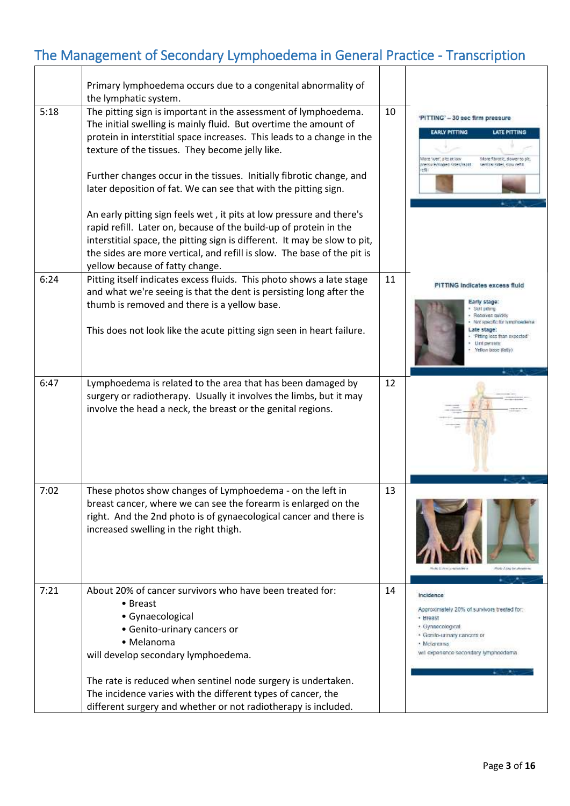|      | Primary lymphoedema occurs due to a congenital abnormality of<br>the lymphatic system.                                                                                                                                                                                                                                                                                                                                                                                              |    |                                                                                                                                                                                                          |
|------|-------------------------------------------------------------------------------------------------------------------------------------------------------------------------------------------------------------------------------------------------------------------------------------------------------------------------------------------------------------------------------------------------------------------------------------------------------------------------------------|----|----------------------------------------------------------------------------------------------------------------------------------------------------------------------------------------------------------|
| 5:18 | The pitting sign is important in the assessment of lymphoedema.<br>The initial swelling is mainly fluid. But overtime the amount of<br>protein in interstitial space increases. This leads to a change in the<br>texture of the tissues. They become jelly like.<br>Further changes occur in the tissues. Initially fibrotic change, and<br>later deposition of fat. We can see that with the pitting sign.<br>An early pitting sign feels wet, it pits at low pressure and there's | 10 | 'PITTING' - 30 sec firm pressure<br><b>EARLY PITTING</b><br><b>LATE PITTING</b><br>done "weet": oltri ze kow<br>More fibratic, slower to p<br>nero ira /dioned cides frankt<br>vertical sides, since net |
|      | rapid refill. Later on, because of the build-up of protein in the<br>interstitial space, the pitting sign is different. It may be slow to pit,<br>the sides are more vertical, and refill is slow. The base of the pit is<br>yellow because of fatty change.                                                                                                                                                                                                                        |    |                                                                                                                                                                                                          |
| 6:24 | Pitting itself indicates excess fluids. This photo shows a late stage<br>and what we're seeing is that the dent is persisting long after the<br>thumb is removed and there is a yellow base.<br>This does not look like the acute pitting sign seen in heart failure.                                                                                                                                                                                                               | 11 | PITTING Indicates excess fluid<br>Early stage:<br>Soll pitting<br>Resolves cuickly<br>Not specific for lymphoedema<br>Late stage:<br>Philing less than expected<br>Unit persists<br>Yellow base (fatti)  |
| 6:47 | Lymphoedema is related to the area that has been damaged by<br>surgery or radiotherapy. Usually it involves the limbs, but it may<br>involve the head a neck, the breast or the genital regions.                                                                                                                                                                                                                                                                                    | 12 |                                                                                                                                                                                                          |
| 7:02 | These photos show changes of Lymphoedema - on the left in<br>breast cancer, where we can see the forearm is enlarged on the<br>right. And the 2nd photo is of gynaecological cancer and there is<br>increased swelling in the right thigh.                                                                                                                                                                                                                                          | 13 |                                                                                                                                                                                                          |
| 7:21 | About 20% of cancer survivors who have been treated for:<br>• Breast<br>• Gynaecological<br>• Genito-urinary cancers or<br>• Melanoma<br>will develop secondary lymphoedema.<br>The rate is reduced when sentinel node surgery is undertaken.                                                                                                                                                                                                                                       | 14 | Incidence<br>Approximately 20% of survivors treated for:<br>+ Hreast<br>+ Gynaecological<br>+ Genito-unnary cancers or<br>· Melanoma<br>will experience secondary lymphoedemia                           |
|      | The incidence varies with the different types of cancer, the<br>different surgery and whether or not radiotherapy is included.                                                                                                                                                                                                                                                                                                                                                      |    |                                                                                                                                                                                                          |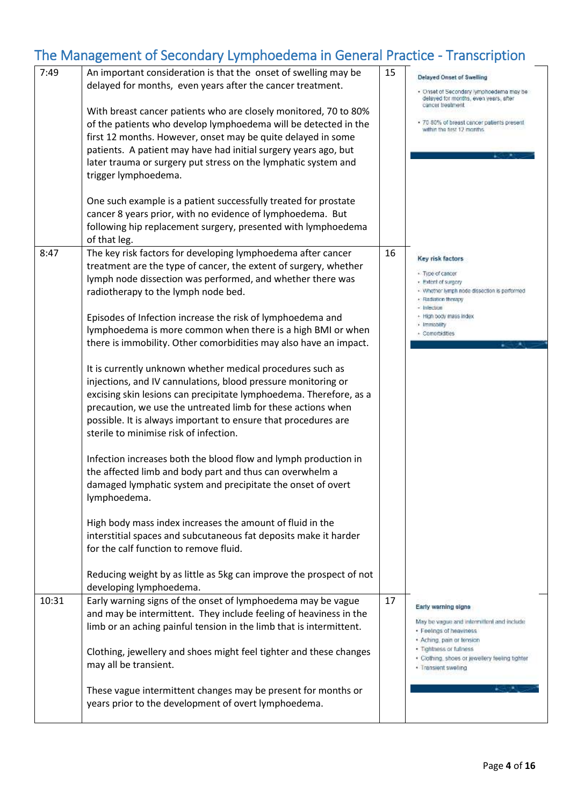| 7:49  | An important consideration is that the onset of swelling may be<br>delayed for months, even years after the cancer treatment.<br>With breast cancer patients who are closely monitored, 70 to 80%<br>of the patients who develop lymphoedema will be detected in the<br>first 12 months. However, onset may be quite delayed in some<br>patients. A patient may have had initial surgery years ago, but<br>later trauma or surgery put stress on the lymphatic system and<br>trigger lymphoedema.<br>One such example is a patient successfully treated for prostate<br>cancer 8 years prior, with no evidence of lymphoedema. But<br>following hip replacement surgery, presented with lymphoedema<br>of that leg.                                                                                                                                                                                                                                                                                                                                                                                                                                                                                                                                                                      | 15 | Delayed Onset of Swelling<br>· Onset of Secondary lymphoedema may be<br>delayed for months, even years, after<br>cancer treatment<br>· 70-80% of breast cancer patients present<br>within the first 12 months.                |
|-------|------------------------------------------------------------------------------------------------------------------------------------------------------------------------------------------------------------------------------------------------------------------------------------------------------------------------------------------------------------------------------------------------------------------------------------------------------------------------------------------------------------------------------------------------------------------------------------------------------------------------------------------------------------------------------------------------------------------------------------------------------------------------------------------------------------------------------------------------------------------------------------------------------------------------------------------------------------------------------------------------------------------------------------------------------------------------------------------------------------------------------------------------------------------------------------------------------------------------------------------------------------------------------------------|----|-------------------------------------------------------------------------------------------------------------------------------------------------------------------------------------------------------------------------------|
| 8:47  | The key risk factors for developing lymphoedema after cancer<br>treatment are the type of cancer, the extent of surgery, whether<br>lymph node dissection was performed, and whether there was<br>radiotherapy to the lymph node bed.<br>Episodes of Infection increase the risk of lymphoedema and<br>lymphoedema is more common when there is a high BMI or when<br>there is immobility. Other comorbidities may also have an impact.<br>It is currently unknown whether medical procedures such as<br>injections, and IV cannulations, blood pressure monitoring or<br>excising skin lesions can precipitate lymphoedema. Therefore, as a<br>precaution, we use the untreated limb for these actions when<br>possible. It is always important to ensure that procedures are<br>sterile to minimise risk of infection.<br>Infection increases both the blood flow and lymph production in<br>the affected limb and body part and thus can overwhelm a<br>damaged lymphatic system and precipitate the onset of overt<br>lymphoedema.<br>High body mass index increases the amount of fluid in the<br>interstitial spaces and subcutaneous fat deposits make it harder<br>for the calf function to remove fluid.<br>Reducing weight by as little as 5kg can improve the prospect of not | 16 | Key risk factors<br>· Type of cancer<br>Extent of surgery<br>· Whether lymph node dissection is performed<br>· Radiation therapy<br>- Infection<br>+ High body mass index<br>· Immobility<br>- Comorbidities                  |
| 10:31 | developing lymphoedema.<br>Early warning signs of the onset of lymphoedema may be vague<br>and may be intermittent. They include feeling of heaviness in the<br>limb or an aching painful tension in the limb that is intermittent.<br>Clothing, jewellery and shoes might feel tighter and these changes<br>may all be transient.<br>These vague intermittent changes may be present for months or<br>years prior to the development of overt lymphoedema.                                                                                                                                                                                                                                                                                                                                                                                                                                                                                                                                                                                                                                                                                                                                                                                                                              | 17 | Early warning signs<br>May be vague and intermittent and include<br>· Feelings of heaviness<br>· Aching, pain or tension<br>· Tightness or fullness<br>· Clothing, shoes or jewellery feeling tighter<br>· Translent swelling |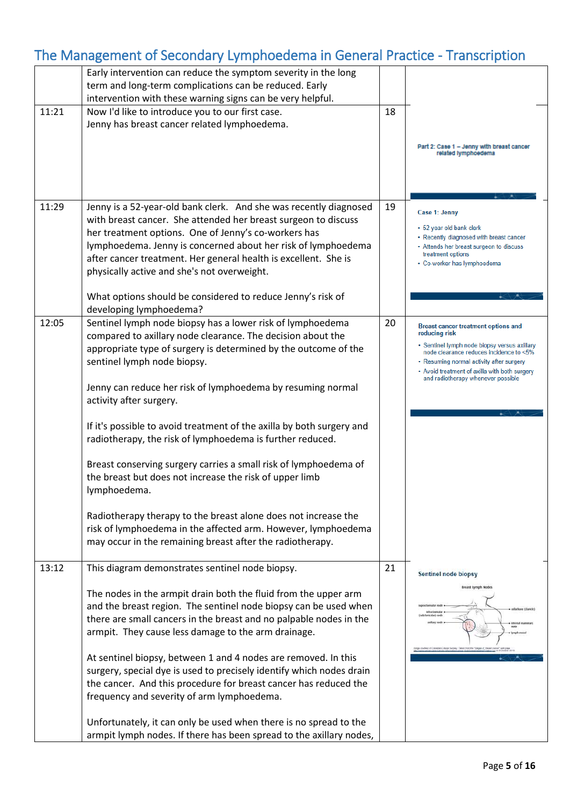|       | Early intervention can reduce the symptom severity in the long<br>term and long-term complications can be reduced. Early                                                                                                                                                                                                                                                       |    |                                                                                                                                                                                                                                                                                    |
|-------|--------------------------------------------------------------------------------------------------------------------------------------------------------------------------------------------------------------------------------------------------------------------------------------------------------------------------------------------------------------------------------|----|------------------------------------------------------------------------------------------------------------------------------------------------------------------------------------------------------------------------------------------------------------------------------------|
|       | intervention with these warning signs can be very helpful.                                                                                                                                                                                                                                                                                                                     |    |                                                                                                                                                                                                                                                                                    |
| 11:21 | Now I'd like to introduce you to our first case.<br>Jenny has breast cancer related lymphoedema.                                                                                                                                                                                                                                                                               | 18 |                                                                                                                                                                                                                                                                                    |
|       |                                                                                                                                                                                                                                                                                                                                                                                |    | Part 2: Case 1 - Jenny with breast cancer<br>related lymphoedema                                                                                                                                                                                                                   |
|       |                                                                                                                                                                                                                                                                                                                                                                                |    |                                                                                                                                                                                                                                                                                    |
| 11:29 | Jenny is a 52-year-old bank clerk. And she was recently diagnosed<br>with breast cancer. She attended her breast surgeon to discuss<br>her treatment options. One of Jenny's co-workers has<br>lymphoedema. Jenny is concerned about her risk of lymphoedema<br>after cancer treatment. Her general health is excellent. She is<br>physically active and she's not overweight. | 19 | Case 1: Jenny<br>• 52 year old bank clerk<br>• Recently diagnosed with breast cancer<br>• Attends her breast surgeon to discuss<br>treatment options<br>• Co-worker has lymphoedema                                                                                                |
|       | What options should be considered to reduce Jenny's risk of<br>developing lymphoedema?                                                                                                                                                                                                                                                                                         |    |                                                                                                                                                                                                                                                                                    |
| 12:05 | Sentinel lymph node biopsy has a lower risk of lymphoedema<br>compared to axillary node clearance. The decision about the<br>appropriate type of surgery is determined by the outcome of the<br>sentinel lymph node biopsy.                                                                                                                                                    | 20 | Breast cancer treatment options and<br>reducing risk<br>· Sentinel lymph node biopsy versus axillary<br>node clearance reduces incidence to <5%<br>• Resuming normal activity after surgery<br>• Avoid treatment of axilla with both surgery<br>and radiotherapy whenever possible |
|       | Jenny can reduce her risk of lymphoedema by resuming normal<br>activity after surgery.                                                                                                                                                                                                                                                                                         |    |                                                                                                                                                                                                                                                                                    |
|       | If it's possible to avoid treatment of the axilla by both surgery and<br>radiotherapy, the risk of lymphoedema is further reduced.                                                                                                                                                                                                                                             |    |                                                                                                                                                                                                                                                                                    |
|       | Breast conserving surgery carries a small risk of lymphoedema of<br>the breast but does not increase the risk of upper limb<br>lymphoedema.                                                                                                                                                                                                                                    |    |                                                                                                                                                                                                                                                                                    |
|       | Radiotherapy therapy to the breast alone does not increase the<br>risk of lymphoedema in the affected arm. However, lymphoedema<br>may occur in the remaining breast after the radiotherapy.                                                                                                                                                                                   |    |                                                                                                                                                                                                                                                                                    |
| 13:12 | This diagram demonstrates sentinel node biopsy.                                                                                                                                                                                                                                                                                                                                | 21 | Sentinel node biopsy                                                                                                                                                                                                                                                               |
|       | The nodes in the armpit drain both the fluid from the upper arm<br>and the breast region. The sentinel node biopsy can be used when<br>there are small cancers in the breast and no palpable nodes in the<br>armpit. They cause less damage to the arm drainage.                                                                                                               |    | <b>Breast Lymph Noder</b>                                                                                                                                                                                                                                                          |
|       | At sentinel biopsy, between 1 and 4 nodes are removed. In this<br>surgery, special dye is used to precisely identify which nodes drain<br>the cancer. And this procedure for breast cancer has reduced the<br>frequency and severity of arm lymphoedema.                                                                                                                       |    |                                                                                                                                                                                                                                                                                    |
|       | Unfortunately, it can only be used when there is no spread to the<br>armpit lymph nodes. If there has been spread to the axillary nodes,                                                                                                                                                                                                                                       |    |                                                                                                                                                                                                                                                                                    |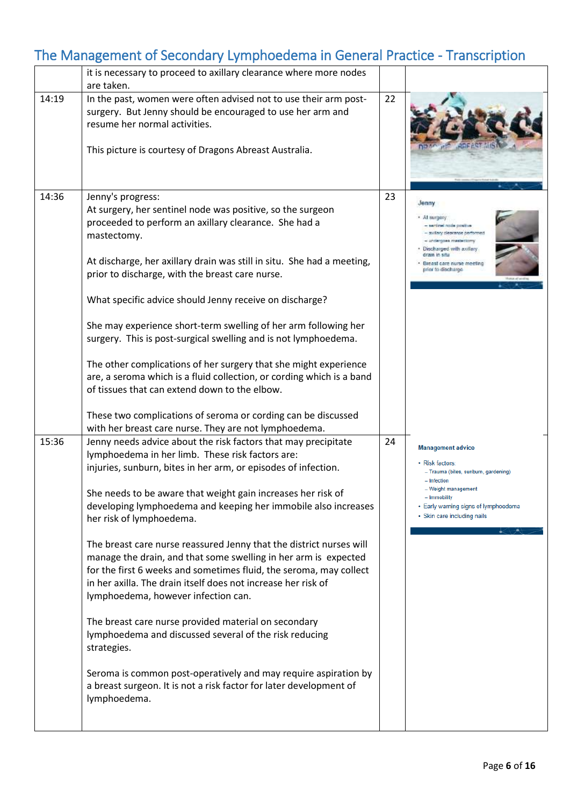|       | it is necessary to proceed to axillary clearance where more nodes                                                                                                                                                                                                                                                                                                                                                                                                                                                                                                                                                                                                                                                                                                                                                                                                                                                                                                    |    |                                                                                                                                                                                                                  |
|-------|----------------------------------------------------------------------------------------------------------------------------------------------------------------------------------------------------------------------------------------------------------------------------------------------------------------------------------------------------------------------------------------------------------------------------------------------------------------------------------------------------------------------------------------------------------------------------------------------------------------------------------------------------------------------------------------------------------------------------------------------------------------------------------------------------------------------------------------------------------------------------------------------------------------------------------------------------------------------|----|------------------------------------------------------------------------------------------------------------------------------------------------------------------------------------------------------------------|
|       | are taken.                                                                                                                                                                                                                                                                                                                                                                                                                                                                                                                                                                                                                                                                                                                                                                                                                                                                                                                                                           |    |                                                                                                                                                                                                                  |
| 14:19 | In the past, women were often advised not to use their arm post-<br>surgery. But Jenny should be encouraged to use her arm and<br>resume her normal activities.<br>This picture is courtesy of Dragons Abreast Australia.                                                                                                                                                                                                                                                                                                                                                                                                                                                                                                                                                                                                                                                                                                                                            | 22 |                                                                                                                                                                                                                  |
| 14:36 | Jenny's progress:<br>At surgery, her sentinel node was positive, so the surgeon<br>proceeded to perform an axillary clearance. She had a<br>mastectomy.<br>At discharge, her axillary drain was still in situ. She had a meeting,<br>prior to discharge, with the breast care nurse.<br>What specific advice should Jenny receive on discharge?<br>She may experience short-term swelling of her arm following her<br>surgery. This is post-surgical swelling and is not lymphoedema.<br>The other complications of her surgery that she might experience<br>are, a seroma which is a fluid collection, or cording which is a band<br>of tissues that can extend down to the elbow.                                                                                                                                                                                                                                                                                  | 23 | Jenny<br>Al surger<br>santinal node positive<br>sullary clearance performed<br>Discharged with axillary<br>drain in situ<br>Breast care nurse meeting<br>prior to discharge                                      |
|       | These two complications of seroma or cording can be discussed<br>with her breast care nurse. They are not lymphoedema.                                                                                                                                                                                                                                                                                                                                                                                                                                                                                                                                                                                                                                                                                                                                                                                                                                               |    |                                                                                                                                                                                                                  |
| 15:36 | Jenny needs advice about the risk factors that may precipitate<br>lymphoedema in her limb. These risk factors are:<br>injuries, sunburn, bites in her arm, or episodes of infection.<br>She needs to be aware that weight gain increases her risk of<br>developing lymphoedema and keeping her immobile also increases<br>her risk of lymphoedema.<br>The breast care nurse reassured Jenny that the district nurses will<br>manage the drain, and that some swelling in her arm is expected<br>for the first 6 weeks and sometimes fluid, the seroma, may collect<br>in her axilla. The drain itself does not increase her risk of<br>lymphoedema, however infection can.<br>The breast care nurse provided material on secondary<br>lymphoedema and discussed several of the risk reducing<br>strategies.<br>Seroma is common post-operatively and may require aspiration by<br>a breast surgeon. It is not a risk factor for later development of<br>lymphoedema. | 24 | <b>Management advice</b><br>• Risk factors:<br>- Trauma (bites, sunburn, gardening)<br>- Infection<br>- Weight management<br>- Immobility<br>• Early warning signs of lymphoedema<br>· Skin care including nails |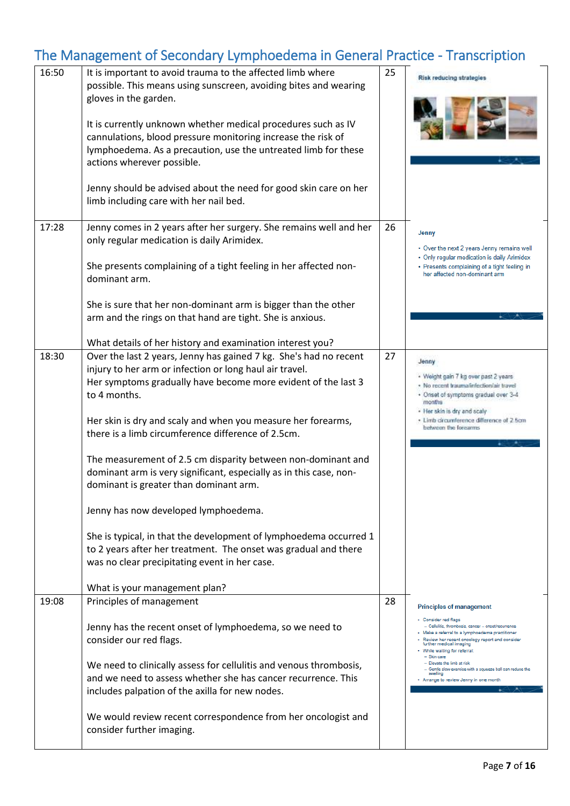| 16:50 | It is important to avoid trauma to the affected limb where<br>possible. This means using sunscreen, avoiding bites and wearing<br>gloves in the garden.<br>It is currently unknown whether medical procedures such as IV<br>cannulations, blood pressure monitoring increase the risk of<br>lymphoedema. As a precaution, use the untreated limb for these<br>actions wherever possible.<br>Jenny should be advised about the need for good skin care on her<br>limb including care with her nail bed.                                                                                                                                                                                                                                                                                | 25 | Risk reducing strategies                                                                                                                                                                                                                                                                                                                                                                                                                        |
|-------|---------------------------------------------------------------------------------------------------------------------------------------------------------------------------------------------------------------------------------------------------------------------------------------------------------------------------------------------------------------------------------------------------------------------------------------------------------------------------------------------------------------------------------------------------------------------------------------------------------------------------------------------------------------------------------------------------------------------------------------------------------------------------------------|----|-------------------------------------------------------------------------------------------------------------------------------------------------------------------------------------------------------------------------------------------------------------------------------------------------------------------------------------------------------------------------------------------------------------------------------------------------|
| 17:28 | Jenny comes in 2 years after her surgery. She remains well and her<br>only regular medication is daily Arimidex.<br>She presents complaining of a tight feeling in her affected non-<br>dominant arm.<br>She is sure that her non-dominant arm is bigger than the other<br>arm and the rings on that hand are tight. She is anxious.<br>What details of her history and examination interest you?                                                                                                                                                                                                                                                                                                                                                                                     | 26 | Jenny<br>• Over the next 2 years Jenny remains well<br>• Only regular medication is daily Arimidex<br>• Presents complaining of a tight feeling in<br>her affected non-dominant arm                                                                                                                                                                                                                                                             |
| 18:30 | Over the last 2 years, Jenny has gained 7 kg. She's had no recent<br>injury to her arm or infection or long haul air travel.<br>Her symptoms gradually have become more evident of the last 3<br>to 4 months.<br>Her skin is dry and scaly and when you measure her forearms,<br>there is a limb circumference difference of 2.5cm.<br>The measurement of 2.5 cm disparity between non-dominant and<br>dominant arm is very significant, especially as in this case, non-<br>dominant is greater than dominant arm.<br>Jenny has now developed lymphoedema.<br>She is typical, in that the development of lymphoedema occurred 1<br>to 2 years after her treatment. The onset was gradual and there<br>was no clear precipitating event in her case.<br>What is your management plan? | 27 | Jenny<br>· Weight gain 7 kg over past 2 years<br>· No recent traumafinfection/air travel<br>· Onset of symptoms gradual over 3-4<br>months<br>. Her skin is dry and scaly<br>· Limb circumference difference of 2.5cm<br>between the forearms                                                                                                                                                                                                   |
| 19:08 | Principles of management<br>Jenny has the recent onset of lymphoedema, so we need to<br>consider our red flags.<br>We need to clinically assess for cellulitis and venous thrombosis,<br>and we need to assess whether she has cancer recurrence. This<br>includes palpation of the axilla for new nodes.<br>We would review recent correspondence from her oncologist and<br>consider further imaging.                                                                                                                                                                                                                                                                                                                                                                               | 28 | <b>Principles of management</b><br>• Consider red flags<br>- Cellulitis, thrombosis, cancer - onset/recurrence<br>- Make a referral to a lymphoedema practitioner<br>Review her recent oncology report and consider<br>further medical imaging<br>. While waiting for referral:<br>- Skin care<br>- Elevate the limb at risk<br>- Gentle slow exercise with a squeeze ball can reduce the<br>swelling<br>- Arrange to review Jenny in one month |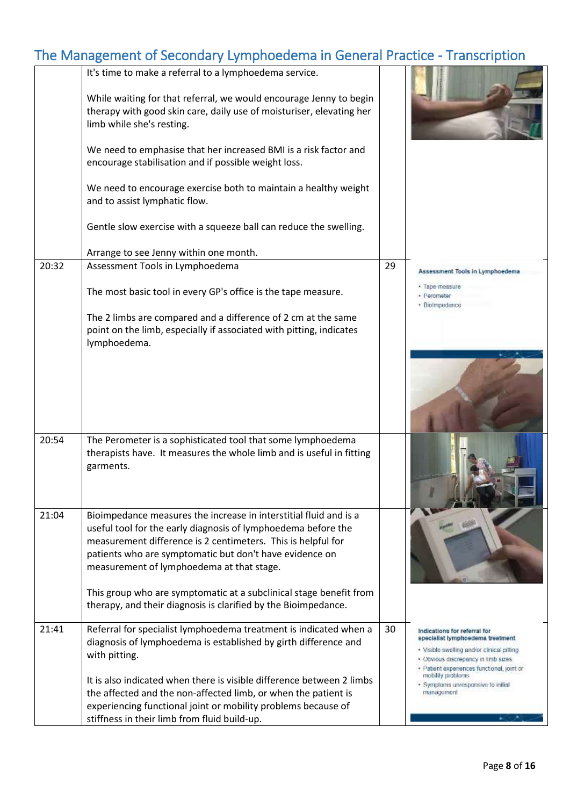|       | It's time to make a referral to a lymphoedema service.<br>While waiting for that referral, we would encourage Jenny to begin<br>therapy with good skin care, daily use of moisturiser, elevating her<br>limb while she's resting.<br>We need to emphasise that her increased BMI is a risk factor and<br>encourage stabilisation and if possible weight loss. |    |                                                                                                                                                                                                                                                                               |
|-------|---------------------------------------------------------------------------------------------------------------------------------------------------------------------------------------------------------------------------------------------------------------------------------------------------------------------------------------------------------------|----|-------------------------------------------------------------------------------------------------------------------------------------------------------------------------------------------------------------------------------------------------------------------------------|
|       | We need to encourage exercise both to maintain a healthy weight<br>and to assist lymphatic flow.<br>Gentle slow exercise with a squeeze ball can reduce the swelling.                                                                                                                                                                                         |    |                                                                                                                                                                                                                                                                               |
|       | Arrange to see Jenny within one month.                                                                                                                                                                                                                                                                                                                        |    |                                                                                                                                                                                                                                                                               |
| 20:32 | Assessment Tools in Lymphoedema                                                                                                                                                                                                                                                                                                                               | 29 |                                                                                                                                                                                                                                                                               |
|       | The most basic tool in every GP's office is the tape measure.<br>The 2 limbs are compared and a difference of 2 cm at the same                                                                                                                                                                                                                                |    | Assessment Tools in Lymphoedema<br>· Tape measure<br>· Perometer<br>· Biolmpedance                                                                                                                                                                                            |
|       | point on the limb, especially if associated with pitting, indicates<br>lymphoedema.                                                                                                                                                                                                                                                                           |    |                                                                                                                                                                                                                                                                               |
|       |                                                                                                                                                                                                                                                                                                                                                               |    |                                                                                                                                                                                                                                                                               |
| 20:54 | The Perometer is a sophisticated tool that some lymphoedema<br>therapists have. It measures the whole limb and is useful in fitting<br>garments.                                                                                                                                                                                                              |    |                                                                                                                                                                                                                                                                               |
| 21:04 | Bioimpedance measures the increase in interstitial fluid and is a<br>useful tool for the early diagnosis of lymphoedema before the<br>measurement difference is 2 centimeters. This is helpful for<br>patients who are symptomatic but don't have evidence on<br>measurement of lymphoedema at that stage.                                                    |    |                                                                                                                                                                                                                                                                               |
|       | This group who are symptomatic at a subclinical stage benefit from<br>therapy, and their diagnosis is clarified by the Bioimpedance.                                                                                                                                                                                                                          |    |                                                                                                                                                                                                                                                                               |
| 21:41 | Referral for specialist lymphoedema treatment is indicated when a<br>diagnosis of lymphoedema is established by girth difference and<br>with pitting.<br>It is also indicated when there is visible difference between 2 limbs<br>the affected and the non-affected limb, or when the patient is                                                              | 30 | Indications for referral for<br>specialist lymphoedema treatment<br>· Visible swelling and/or clinical pitting<br>· Obvious discrepancy in limb sizes<br>+ Patient experiences functional, joint or<br>mobility problems<br>· Symptoms unresponsive to initial.<br>management |
|       | experiencing functional joint or mobility problems because of                                                                                                                                                                                                                                                                                                 |    |                                                                                                                                                                                                                                                                               |
|       | stiffness in their limb from fluid build-up.                                                                                                                                                                                                                                                                                                                  |    |                                                                                                                                                                                                                                                                               |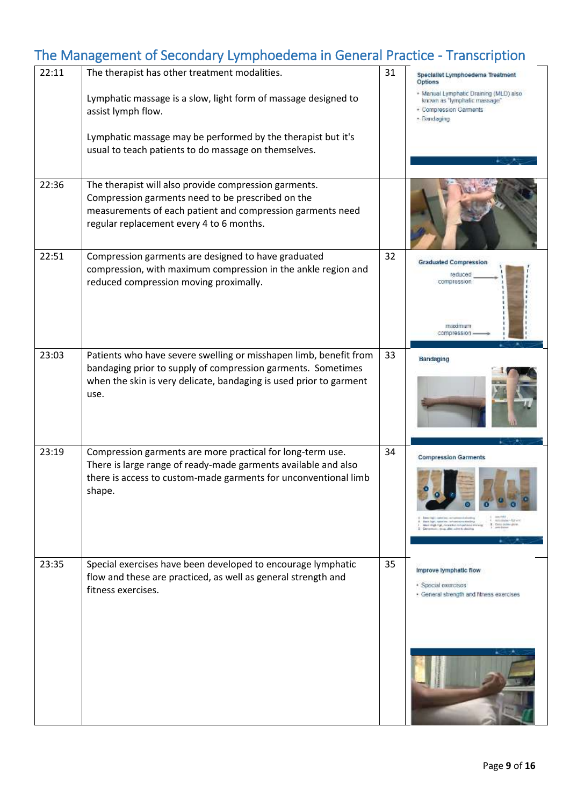| 22:11 | The therapist has other treatment modalities.                                                                                                                                                                        | 31 | Specialist Lymphoedema Treatment<br>Options                                                                                                                                                          |
|-------|----------------------------------------------------------------------------------------------------------------------------------------------------------------------------------------------------------------------|----|------------------------------------------------------------------------------------------------------------------------------------------------------------------------------------------------------|
|       | Lymphatic massage is a slow, light form of massage designed to<br>assist lymph flow.                                                                                                                                 |    | · Manual Lymphatic Draining (MLD) also<br>known as "lymphatic massage"<br>· Compression Garments<br>· Bandaging                                                                                      |
|       | Lymphatic massage may be performed by the therapist but it's<br>usual to teach patients to do massage on themselves.                                                                                                 |    |                                                                                                                                                                                                      |
| 22:36 | The therapist will also provide compression garments.<br>Compression garments need to be prescribed on the<br>measurements of each patient and compression garments need<br>regular replacement every 4 to 6 months. |    |                                                                                                                                                                                                      |
| 22:51 | Compression garments are designed to have graduated<br>compression, with maximum compression in the ankle region and<br>reduced compression moving proximally.                                                       | 32 | <b>Graduated Compression</b><br>reduced<br>compression<br>твахітния<br>compression                                                                                                                   |
| 23:03 | Patients who have severe swelling or misshapen limb, benefit from<br>bandaging prior to supply of compression garments. Sometimes<br>when the skin is very delicate, bandaging is used prior to garment<br>use.      | 33 | Bandaging                                                                                                                                                                                            |
| 23:19 | Compression garments are more practical for long-term use.<br>There is large range of ready-made garments available and also<br>there is access to custom-made garments for unconventional limb<br>shape.            | 34 | <b>Compression Garments</b><br>envisore-htmen<br>Electric Pages, replease from the Properties on Albertal August<br>Mark Hingh Pige, viewed fine inninged place and<br>come, after write is admissed |
| 23:35 | Special exercises have been developed to encourage lymphatic<br>flow and these are practiced, as well as general strength and<br>fitness exercises.                                                                  | 35 | Improve lymphatic flow<br>· Special exercises<br>· General strength and fitness exercises                                                                                                            |
|       |                                                                                                                                                                                                                      |    |                                                                                                                                                                                                      |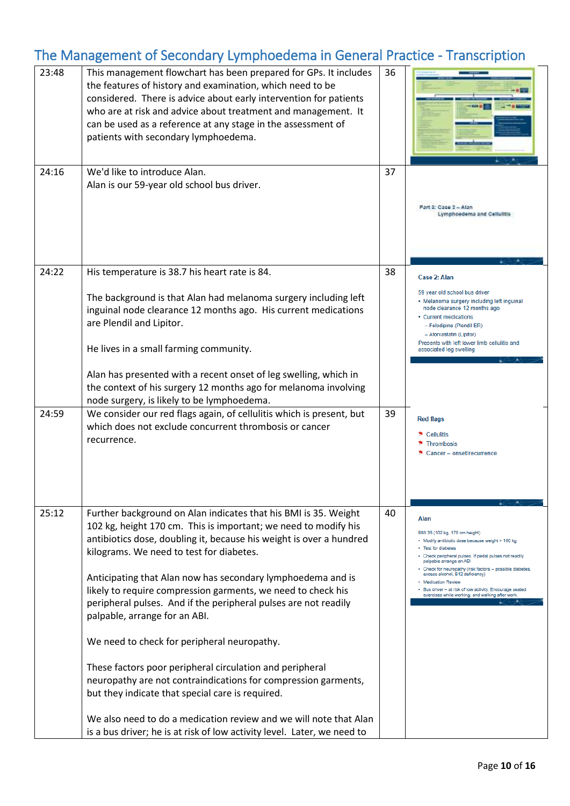| 23:48 | This management flowchart has been prepared for GPs. It includes<br>the features of history and examination, which need to be<br>considered. There is advice about early intervention for patients<br>who are at risk and advice about treatment and management. It<br>can be used as a reference at any stage in the assessment of<br>patients with secondary lymphoedema.                                                                                                                                                                                                                                                                                                                                                                                                                                                                                               | 36 |                                                                                                                                                                                                                                                                                                                                                                                                                                                |
|-------|---------------------------------------------------------------------------------------------------------------------------------------------------------------------------------------------------------------------------------------------------------------------------------------------------------------------------------------------------------------------------------------------------------------------------------------------------------------------------------------------------------------------------------------------------------------------------------------------------------------------------------------------------------------------------------------------------------------------------------------------------------------------------------------------------------------------------------------------------------------------------|----|------------------------------------------------------------------------------------------------------------------------------------------------------------------------------------------------------------------------------------------------------------------------------------------------------------------------------------------------------------------------------------------------------------------------------------------------|
| 24:16 | We'd like to introduce Alan.<br>Alan is our 59-year old school bus driver.                                                                                                                                                                                                                                                                                                                                                                                                                                                                                                                                                                                                                                                                                                                                                                                                | 37 | Part S: Case 2 - Alan<br>Lymphoedema and Cellulitis                                                                                                                                                                                                                                                                                                                                                                                            |
| 24:22 | His temperature is 38.7 his heart rate is 84.<br>The background is that Alan had melanoma surgery including left<br>inguinal node clearance 12 months ago. His current medications<br>are Plendil and Lipitor.<br>He lives in a small farming community.<br>Alan has presented with a recent onset of leg swelling, which in<br>the context of his surgery 12 months ago for melanoma involving<br>node surgery, is likely to be lymphoedema.                                                                                                                                                                                                                                                                                                                                                                                                                             | 38 | Case 2: Alan<br>59 year old school bus driver<br>• Melanoma surgery including left inguinal<br>node clearance 12 months ago<br>• Current medications:<br>- Felodipine (Plendil ER)<br>- Atorvastatin (Lipitor)<br>Presents with left lower limb cellulitis and<br>associated leg swelling                                                                                                                                                      |
| 24:59 | We consider our red flags again, of cellulitis which is present, but<br>which does not exclude concurrent thrombosis or cancer<br>recurrence.                                                                                                                                                                                                                                                                                                                                                                                                                                                                                                                                                                                                                                                                                                                             | 39 | <b>Red flags</b><br>* Cellulitis<br>* Thrombosis<br>* Cancer - onset/recurrence                                                                                                                                                                                                                                                                                                                                                                |
| 25:12 | Further background on Alan indicates that his BMI is 35. Weight<br>102 kg, height 170 cm. This is important; we need to modify his<br>antibiotics dose, doubling it, because his weight is over a hundred<br>kilograms. We need to test for diabetes.<br>Anticipating that Alan now has secondary lymphoedema and is<br>likely to require compression garments, we need to check his<br>peripheral pulses. And if the peripheral pulses are not readily<br>palpable, arrange for an ABI.<br>We need to check for peripheral neuropathy.<br>These factors poor peripheral circulation and peripheral<br>neuropathy are not contraindications for compression garments,<br>but they indicate that special care is required.<br>We also need to do a medication review and we will note that Alan<br>is a bus driver; he is at risk of low activity level. Later, we need to | 40 | Alan<br>BMI 35 (102 kg, 170 cm height)<br>- Modify antibiotic dose because weight > 100 kg<br>· Test for diabetes<br>• Check peripheral pulses. If pedal pulses not readily<br>palpable arrange an ABI<br>Check for neuropathy (risk factors - possible diabetes,<br>excess alcohol, B12 deficiency)<br><b>Medication Review</b><br>Bus driver - at risk of low activity. Encourage seated<br>exercises while working, and walking after work. |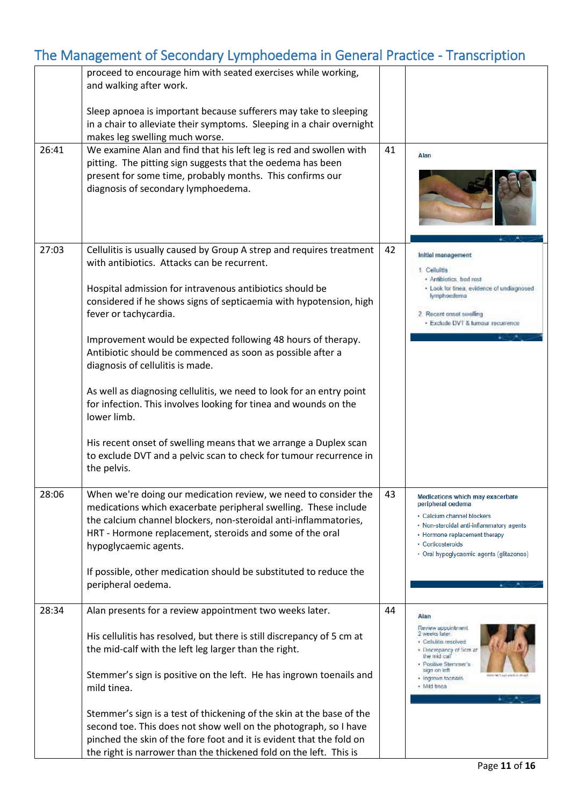|       | proceed to encourage him with seated exercises while working,<br>and walking after work.<br>Sleep apnoea is important because sufferers may take to sleeping                                                                                                                                |    |                                                                                                                                                                                                                                   |
|-------|---------------------------------------------------------------------------------------------------------------------------------------------------------------------------------------------------------------------------------------------------------------------------------------------|----|-----------------------------------------------------------------------------------------------------------------------------------------------------------------------------------------------------------------------------------|
|       | in a chair to alleviate their symptoms. Sleeping in a chair overnight<br>makes leg swelling much worse.                                                                                                                                                                                     |    |                                                                                                                                                                                                                                   |
| 26:41 | We examine Alan and find that his left leg is red and swollen with                                                                                                                                                                                                                          | 41 |                                                                                                                                                                                                                                   |
|       | pitting. The pitting sign suggests that the oedema has been<br>present for some time, probably months. This confirms our<br>diagnosis of secondary lymphoedema.                                                                                                                             |    | Alan                                                                                                                                                                                                                              |
| 27:03 | Cellulitis is usually caused by Group A strep and requires treatment<br>with antibiotics. Attacks can be recurrent.                                                                                                                                                                         | 42 | Initial management<br>1. Cellulitis                                                                                                                                                                                               |
|       | Hospital admission for intravenous antibiotics should be<br>considered if he shows signs of septicaemia with hypotension, high<br>fever or tachycardia.                                                                                                                                     |    | · Antibiotics, bed rest<br>· Look for tinea, evidence of undiagnosed<br>lymphoedema<br>2. Recent onset swelling<br>· Exclude DVT & lumour recurrence                                                                              |
|       | Improvement would be expected following 48 hours of therapy.<br>Antibiotic should be commenced as soon as possible after a<br>diagnosis of cellulitis is made.                                                                                                                              |    |                                                                                                                                                                                                                                   |
|       | As well as diagnosing cellulitis, we need to look for an entry point<br>for infection. This involves looking for tinea and wounds on the<br>lower limb.                                                                                                                                     |    |                                                                                                                                                                                                                                   |
|       | His recent onset of swelling means that we arrange a Duplex scan<br>to exclude DVT and a pelvic scan to check for tumour recurrence in<br>the pelvis.                                                                                                                                       |    |                                                                                                                                                                                                                                   |
| 28:06 | When we're doing our medication review, we need to consider the<br>medications which exacerbate peripheral swelling. These include<br>the calcium channel blockers, non-steroidal anti-inflammatories,<br>HRT - Hormone replacement, steroids and some of the oral<br>hypoglycaemic agents. | 43 | Medications which may exacerbate<br>peripheral oedema<br>· Calcium channel blockers<br>• Non-steroidal anti-inflammatory agents<br>• Hormone replacement therapy<br>· Corticosteroids<br>· Oral hypoglycaemic agents (glitazones) |
|       | If possible, other medication should be substituted to reduce the<br>peripheral oedema.                                                                                                                                                                                                     |    |                                                                                                                                                                                                                                   |
| 28:34 | Alan presents for a review appointment two weeks later.                                                                                                                                                                                                                                     | 44 | Alan                                                                                                                                                                                                                              |
|       | His cellulitis has resolved, but there is still discrepancy of 5 cm at<br>the mid-calf with the left leg larger than the right.                                                                                                                                                             |    | Review appointment<br>2 weeks later.<br>· Celuitis resolved<br>. Discrepancy of ticm at<br>the mid call<br>· Positive Stemmer's                                                                                                   |
|       | Stemmer's sign is positive on the left. He has ingrown toenails and<br>mild tinea.                                                                                                                                                                                                          |    | sign on left<br>· Ingrown toonaris<br>· Mild tinea                                                                                                                                                                                |
|       | Stemmer's sign is a test of thickening of the skin at the base of the<br>second toe. This does not show well on the photograph, so I have<br>pinched the skin of the fore foot and it is evident that the fold on<br>the right is narrower than the thickened fold on the left. This is     |    |                                                                                                                                                                                                                                   |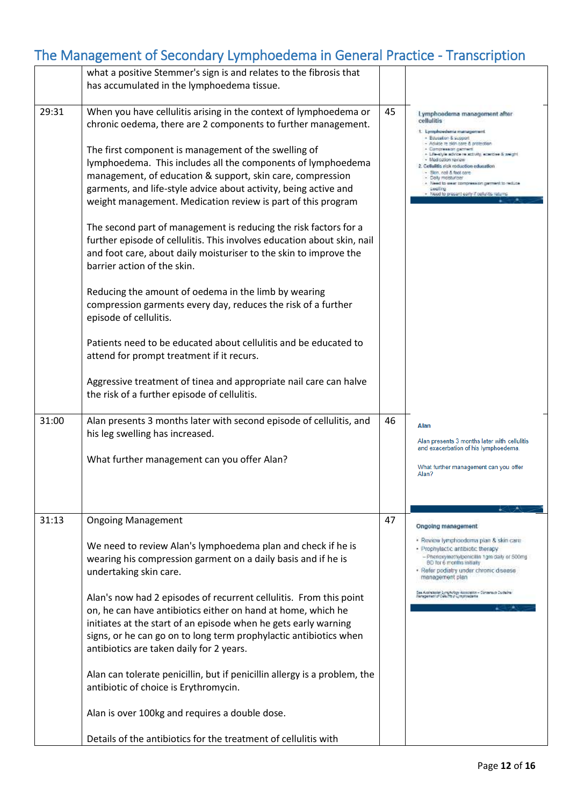|       | what a positive Stemmer's sign is and relates to the fibrosis that<br>has accumulated in the lymphoedema tissue.                                                                                                                                                                                                                                                                                                                                                                                                                                                                                                                                                                                                                                                                                                                                                                                                                                                                                                                                                                                         |    |                                                                                                                                                                                                                                                                                                                                                                                                                                                  |
|-------|----------------------------------------------------------------------------------------------------------------------------------------------------------------------------------------------------------------------------------------------------------------------------------------------------------------------------------------------------------------------------------------------------------------------------------------------------------------------------------------------------------------------------------------------------------------------------------------------------------------------------------------------------------------------------------------------------------------------------------------------------------------------------------------------------------------------------------------------------------------------------------------------------------------------------------------------------------------------------------------------------------------------------------------------------------------------------------------------------------|----|--------------------------------------------------------------------------------------------------------------------------------------------------------------------------------------------------------------------------------------------------------------------------------------------------------------------------------------------------------------------------------------------------------------------------------------------------|
| 29:31 | When you have cellulitis arising in the context of lymphoedema or<br>chronic oedema, there are 2 components to further management.<br>The first component is management of the swelling of<br>lymphoedema. This includes all the components of lymphoedema<br>management, of education & support, skin care, compression<br>garments, and life-style advice about activity, being active and<br>weight management. Medication review is part of this program<br>The second part of management is reducing the risk factors for a<br>further episode of cellulitis. This involves education about skin, nail<br>and foot care, about daily moisturiser to the skin to improve the<br>barrier action of the skin.<br>Reducing the amount of oedema in the limb by wearing<br>compression garments every day, reduces the risk of a further<br>episode of cellulitis.<br>Patients need to be educated about cellulitis and be educated to<br>attend for prompt treatment if it recurs.<br>Aggressive treatment of tinea and appropriate nail care can halve<br>the risk of a further episode of cellulitis. | 45 | Lymphoederna management after<br>cellulitis<br>1. Lymphoedenia management<br>- Education & support<br>- Advice re skin care & protection<br>- Compression garment<br>+ Literatyle advice relactivity, ecerclee 5 weight<br>· Madication review<br>2. Cellulitis risk reduction education<br>- Skin, not & foot care<br>Daily molsturish!<br>Need to user compression germent to reduce<br>zeoling<br>Need to present early if pelluritis returns |
| 31:00 | Alan presents 3 months later with second episode of cellulitis, and<br>his leg swelling has increased.<br>What further management can you offer Alan?                                                                                                                                                                                                                                                                                                                                                                                                                                                                                                                                                                                                                                                                                                                                                                                                                                                                                                                                                    | 46 | Alan<br>Alan presents 3 months later with cellulitis<br>and exacerbation of his lymphoedema.<br>What further management can you offer<br>Alan?                                                                                                                                                                                                                                                                                                   |
| 31:13 | <b>Ongoing Management</b><br>We need to review Alan's lymphoedema plan and check if he is<br>wearing his compression garment on a daily basis and if he is<br>undertaking skin care.<br>Alan's now had 2 episodes of recurrent cellulitis. From this point<br>on, he can have antibiotics either on hand at home, which he<br>initiates at the start of an episode when he gets early warning<br>signs, or he can go on to long term prophylactic antibiotics when<br>antibiotics are taken daily for 2 years.<br>Alan can tolerate penicillin, but if penicillin allergy is a problem, the<br>antibiotic of choice is Erythromycin.<br>Alan is over 100kg and requires a double dose.<br>Details of the antibiotics for the treatment of cellulitis with                                                                                                                                                                                                                                                                                                                                                | 47 | Ongoing management<br>· Review lymphoedema plan & skin care<br>· Prophylactic antibiotic therapy<br>- Phenoxymathylpenicillin 1gm daily or 500mg<br>BD for 6 months missily<br>· Refer podiatry under chronic disease<br>management plan<br>See Australianian Lymphology Association – Consensus Califadria.<br>Menegement of Cellefits in Lymphoederie                                                                                          |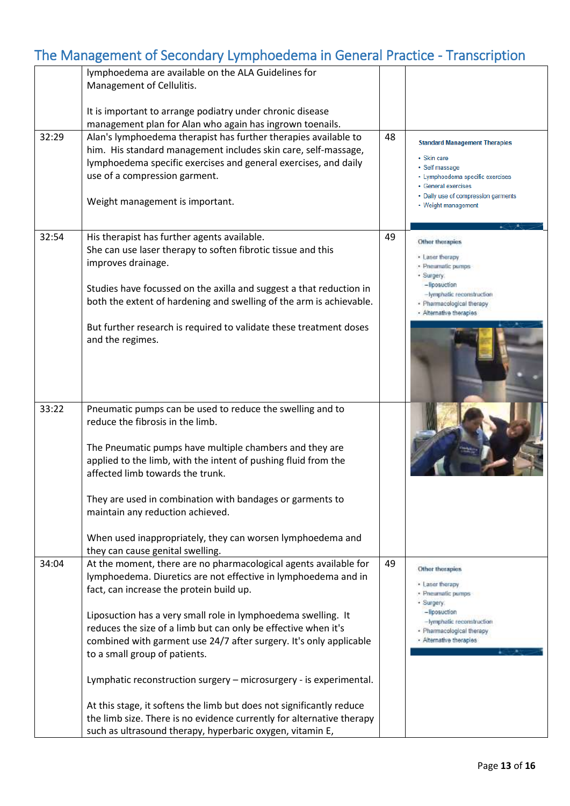|       | lymphoedema are available on the ALA Guidelines for                   |    |                                                         |
|-------|-----------------------------------------------------------------------|----|---------------------------------------------------------|
|       | Management of Cellulitis.                                             |    |                                                         |
|       |                                                                       |    |                                                         |
|       | It is important to arrange podiatry under chronic disease             |    |                                                         |
|       | management plan for Alan who again has ingrown toenails.              |    |                                                         |
| 32:29 | Alan's lymphoedema therapist has further therapies available to       | 48 |                                                         |
|       | him. His standard management includes skin care, self-massage,        |    | <b>Standard Management Therapies</b>                    |
|       |                                                                       |    | • Skin care                                             |
|       | lymphoedema specific exercises and general exercises, and daily       |    | · Self massage                                          |
|       | use of a compression garment.                                         |    | • Lymphoedema specific exercises<br>• General exercises |
|       |                                                                       |    | • Daily use of compression garments                     |
|       | Weight management is important.                                       |    | • Weight management                                     |
|       |                                                                       |    |                                                         |
|       |                                                                       |    |                                                         |
| 32:54 | His therapist has further agents available.                           | 49 |                                                         |
|       | She can use laser therapy to soften fibrotic tissue and this          |    | Other thorapies                                         |
|       | improves drainage.                                                    |    | · Laser therapy                                         |
|       |                                                                       |    | · Pneumatic pumps<br>· Surgery:                         |
|       |                                                                       |    | -liposuction                                            |
|       | Studies have focussed on the axilla and suggest a that reduction in   |    | -lymphatic reconstruction                               |
|       | both the extent of hardening and swelling of the arm is achievable.   |    | · Pharmacological therapy                               |
|       |                                                                       |    | - Alternative therapies                                 |
|       | But further research is required to validate these treatment doses    |    |                                                         |
|       | and the regimes.                                                      |    |                                                         |
|       |                                                                       |    |                                                         |
|       |                                                                       |    |                                                         |
|       |                                                                       |    |                                                         |
|       |                                                                       |    |                                                         |
|       |                                                                       |    |                                                         |
| 33:22 | Pneumatic pumps can be used to reduce the swelling and to             |    |                                                         |
|       | reduce the fibrosis in the limb.                                      |    |                                                         |
|       |                                                                       |    |                                                         |
|       |                                                                       |    |                                                         |
|       | The Pneumatic pumps have multiple chambers and they are               |    |                                                         |
|       | applied to the limb, with the intent of pushing fluid from the        |    |                                                         |
|       | affected limb towards the trunk.                                      |    |                                                         |
|       |                                                                       |    |                                                         |
|       | They are used in combination with bandages or garments to             |    |                                                         |
|       | maintain any reduction achieved.                                      |    |                                                         |
|       |                                                                       |    |                                                         |
|       |                                                                       |    |                                                         |
|       | When used inappropriately, they can worsen lymphoedema and            |    |                                                         |
|       | they can cause genital swelling.                                      |    |                                                         |
| 34:04 | At the moment, there are no pharmacological agents available for      | 49 | Other thorapies                                         |
|       | lymphoedema. Diuretics are not effective in lymphoedema and in        |    |                                                         |
|       | fact, can increase the protein build up.                              |    | · Laser therapy<br>· Pneumatic pumps                    |
|       |                                                                       |    | · Surgery:                                              |
|       | Liposuction has a very small role in lymphoedema swelling. It         |    | -liposuction                                            |
|       |                                                                       |    | -lymphatic reconstruction                               |
|       | reduces the size of a limb but can only be effective when it's        |    | · Pharmacological therapy                               |
|       | combined with garment use 24/7 after surgery. It's only applicable    |    | - Alternative therapies                                 |
|       | to a small group of patients.                                         |    |                                                         |
|       |                                                                       |    |                                                         |
|       | Lymphatic reconstruction surgery - microsurgery - is experimental.    |    |                                                         |
|       |                                                                       |    |                                                         |
|       | At this stage, it softens the limb but does not significantly reduce  |    |                                                         |
|       | the limb size. There is no evidence currently for alternative therapy |    |                                                         |
|       |                                                                       |    |                                                         |
|       | such as ultrasound therapy, hyperbaric oxygen, vitamin E,             |    |                                                         |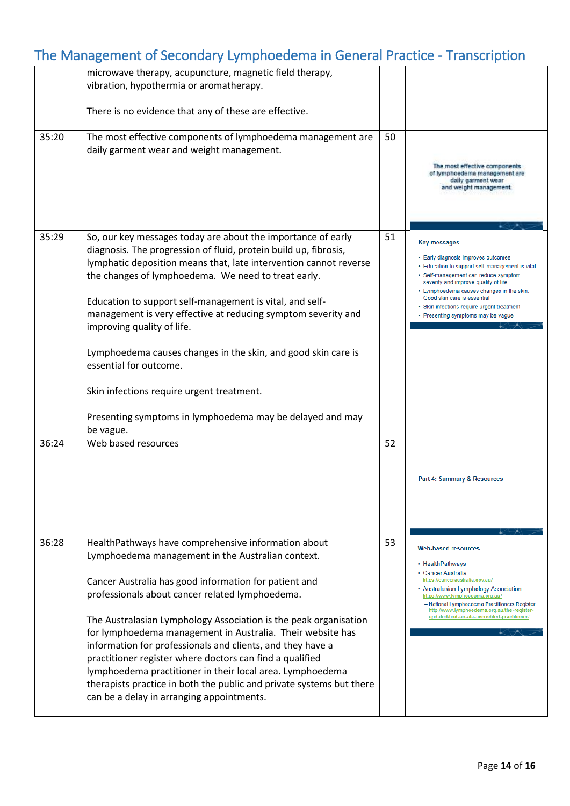|       | microwave therapy, acupuncture, magnetic field therapy,<br>vibration, hypothermia or aromatherapy.                                                                                                                                                                                                                                                                                                                                                                                                                                                                                                                                                                 |    |                                                                                                                                                                                                                                                                                                                                                                |
|-------|--------------------------------------------------------------------------------------------------------------------------------------------------------------------------------------------------------------------------------------------------------------------------------------------------------------------------------------------------------------------------------------------------------------------------------------------------------------------------------------------------------------------------------------------------------------------------------------------------------------------------------------------------------------------|----|----------------------------------------------------------------------------------------------------------------------------------------------------------------------------------------------------------------------------------------------------------------------------------------------------------------------------------------------------------------|
|       | There is no evidence that any of these are effective.                                                                                                                                                                                                                                                                                                                                                                                                                                                                                                                                                                                                              |    |                                                                                                                                                                                                                                                                                                                                                                |
| 35:20 | The most effective components of lymphoedema management are<br>daily garment wear and weight management.                                                                                                                                                                                                                                                                                                                                                                                                                                                                                                                                                           | 50 | The most effective components<br>of lymphoedema management are<br>daily garment wear<br>and weight management.                                                                                                                                                                                                                                                 |
| 35:29 | So, our key messages today are about the importance of early<br>diagnosis. The progression of fluid, protein build up, fibrosis,<br>lymphatic deposition means that, late intervention cannot reverse<br>the changes of lymphoedema. We need to treat early.<br>Education to support self-management is vital, and self-<br>management is very effective at reducing symptom severity and<br>improving quality of life.<br>Lymphoedema causes changes in the skin, and good skin care is<br>essential for outcome.<br>Skin infections require urgent treatment.<br>Presenting symptoms in lymphoedema may be delayed and may<br>be vague.                          | 51 | <b>Key messages</b><br>• Early diagnosis improves outcomes<br>• Education to support self-management is vital<br>· Self-management can reduce symptom<br>severity and improve quality of life<br>• Lymphoedema causes changes in the skin.<br>Good skin care is essential.<br>· Skin infections require urgent treatment<br>• Presenting symptoms may be vague |
| 36:24 | Web based resources                                                                                                                                                                                                                                                                                                                                                                                                                                                                                                                                                                                                                                                | 52 | Part 4: Summary & Resources                                                                                                                                                                                                                                                                                                                                    |
| 36:28 | HealthPathways have comprehensive information about<br>Lymphoedema management in the Australian context.<br>Cancer Australia has good information for patient and<br>professionals about cancer related lymphoedema.<br>The Australasian Lymphology Association is the peak organisation<br>for lymphoedema management in Australia. Their website has<br>information for professionals and clients, and they have a<br>practitioner register where doctors can find a qualified<br>lymphoedema practitioner in their local area. Lymphoedema<br>therapists practice in both the public and private systems but there<br>can be a delay in arranging appointments. | 53 | <b>Web-based resources</b><br>• HealthPathways<br>• Cancer Australia<br>https://canceraustralia.gov.au/<br>• Australasian Lymphology Association<br>https://www.lymphoedema.org.au/<br>- National Lymphoedema Practitioners Register<br>http://www.lymphoedema.org.au/the-register-<br>updated/find-an-ala-accredited-practitioner/                            |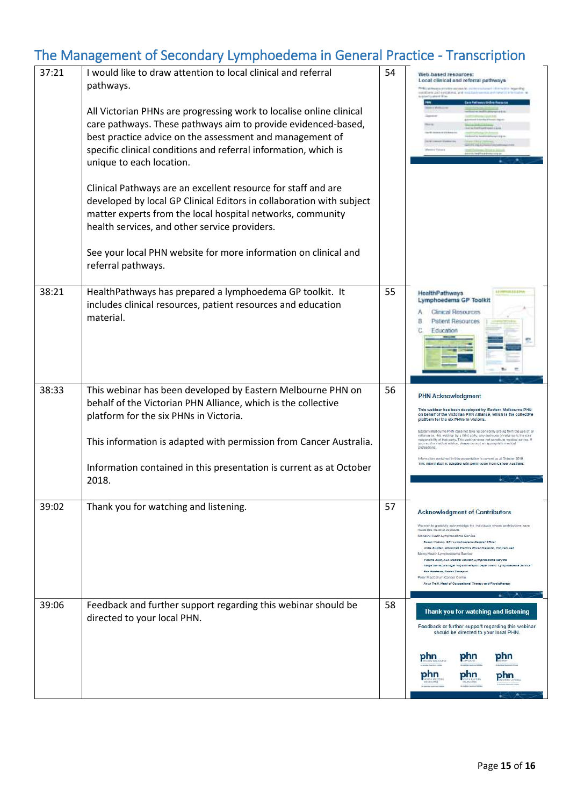| 37:21 | I would like to draw attention to local clinical and referral<br>pathways.                                                                                                                                                                                                                      | 54 | Web-based resources:<br>Local clinical and referral pathways<br>We perform to provide a second in a concer-<br>cations and operational<br>Lighted Siles                                                                                                                                                                                                                                                                                                                                                                                                                                                                |
|-------|-------------------------------------------------------------------------------------------------------------------------------------------------------------------------------------------------------------------------------------------------------------------------------------------------|----|------------------------------------------------------------------------------------------------------------------------------------------------------------------------------------------------------------------------------------------------------------------------------------------------------------------------------------------------------------------------------------------------------------------------------------------------------------------------------------------------------------------------------------------------------------------------------------------------------------------------|
|       | All Victorian PHNs are progressing work to localise online clinical<br>care pathways. These pathways aim to provide evidenced-based,<br>best practice advice on the assessment and management of<br>specific clinical conditions and referral information, which is<br>unique to each location. |    |                                                                                                                                                                                                                                                                                                                                                                                                                                                                                                                                                                                                                        |
|       | Clinical Pathways are an excellent resource for staff and are<br>developed by local GP Clinical Editors in collaboration with subject<br>matter experts from the local hospital networks, community<br>health services, and other service providers.                                            |    |                                                                                                                                                                                                                                                                                                                                                                                                                                                                                                                                                                                                                        |
|       | See your local PHN website for more information on clinical and<br>referral pathways.                                                                                                                                                                                                           |    |                                                                                                                                                                                                                                                                                                                                                                                                                                                                                                                                                                                                                        |
| 38:21 | HealthPathways has prepared a lymphoedema GP toolkit. It<br>includes clinical resources, patient resources and education<br>material.                                                                                                                                                           | 55 | HealthPathways<br>Lymphoedema GP Toolkit<br>Cenical Resources<br>Patient Resources<br>Education                                                                                                                                                                                                                                                                                                                                                                                                                                                                                                                        |
| 38:33 | This webinar has been developed by Eastern Melbourne PHN on<br>behalf of the Victorian PHN Alliance, which is the collective<br>platform for the six PHNs in Victoria.                                                                                                                          | 56 | <b>PHN Acknowledgment</b><br>This webinar has been developed by Eastern Melbourne PHN<br>on behalf of the Victorian PHN Alliance, which is the collective<br>latform for the six PHNs in Victoria                                                                                                                                                                                                                                                                                                                                                                                                                      |
|       | This information is adapted with permission from Cancer Australia.                                                                                                                                                                                                                              |    | Eastern Melbourne PHN does not take responsibility arising from the use of, or<br>eliance on, this webinar by a third party. Any such use or reliance is the sole.<br>esponsibility of that party. This webinar does not constitute medical advice. If<br>you require medical advice, please consult an appropriate medical<br>formation contained in this organization is current as at October 2018                                                                                                                                                                                                                  |
|       | Information contained in this presentation is current as at October<br>2018.                                                                                                                                                                                                                    |    | his information is adapted with permission from Canger Australia                                                                                                                                                                                                                                                                                                                                                                                                                                                                                                                                                       |
| 39:02 | Thank you for watching and listening.                                                                                                                                                                                                                                                           | 57 | <b>Acknowledgment of Contributors</b><br>We wish to gratefully acknowledge the individuals whose contributions have<br>made this material evaliable<br>Monash Health Lymphoedema Service<br>Suzen Hodzon, GP / Lymphoedems Medical Officer<br>Jodie Rundell, Advenced Prectice Physiotherepist, Clinical Lead<br>Marcy Health Lymphoedema Service<br>Yvanne Zwar, ALA Medical Advisor, Lymphoedema Service<br>Tanya Darrer, Manager Physiotherapist Department / Lymphoedema Service<br>Bec Hardman, Senior Thereplat.<br>Peter MacCallum Cancer Centre<br>Anys Traill, Head of Occupational Therapy and Physiotherapy |
| 39:06 | Feedback and further support regarding this webinar should be<br>directed to your local PHN.                                                                                                                                                                                                    | 58 | Thank you for watching and listening<br>Feedback or further support regarding this webinar<br>should be directed to your local PHN.                                                                                                                                                                                                                                                                                                                                                                                                                                                                                    |
|       |                                                                                                                                                                                                                                                                                                 |    | phn<br>phn<br>phn<br>phn<br>phn<br>phr                                                                                                                                                                                                                                                                                                                                                                                                                                                                                                                                                                                 |